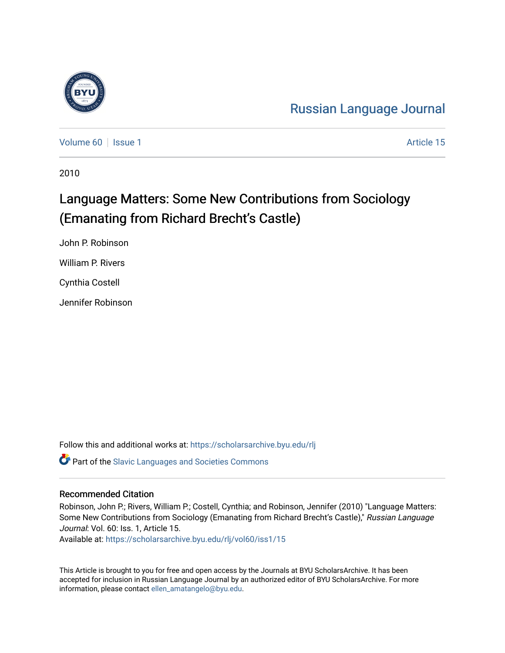# [Russian Language Journal](https://scholarsarchive.byu.edu/rlj)

[Volume 60](https://scholarsarchive.byu.edu/rlj/vol60) | [Issue 1](https://scholarsarchive.byu.edu/rlj/vol60/iss1) Article 15

2010

# Language Matters: Some New Contributions from Sociology (Emanating from Richard Brecht's Castle)

John P. Robinson William P. Rivers Cynthia Costell Jennifer Robinson

Follow this and additional works at: [https://scholarsarchive.byu.edu/rlj](https://scholarsarchive.byu.edu/rlj?utm_source=scholarsarchive.byu.edu%2Frlj%2Fvol60%2Fiss1%2F15&utm_medium=PDF&utm_campaign=PDFCoverPages) **C** Part of the Slavic Languages and Societies Commons

#### Recommended Citation

Robinson, John P.; Rivers, William P.; Costell, Cynthia; and Robinson, Jennifer (2010) "Language Matters: Some New Contributions from Sociology (Emanating from Richard Brecht's Castle)," Russian Language Journal: Vol. 60: Iss. 1, Article 15.

Available at: [https://scholarsarchive.byu.edu/rlj/vol60/iss1/15](https://scholarsarchive.byu.edu/rlj/vol60/iss1/15?utm_source=scholarsarchive.byu.edu%2Frlj%2Fvol60%2Fiss1%2F15&utm_medium=PDF&utm_campaign=PDFCoverPages)

This Article is brought to you for free and open access by the Journals at BYU ScholarsArchive. It has been accepted for inclusion in Russian Language Journal by an authorized editor of BYU ScholarsArchive. For more information, please contact [ellen\\_amatangelo@byu.edu.](mailto:ellen_amatangelo@byu.edu)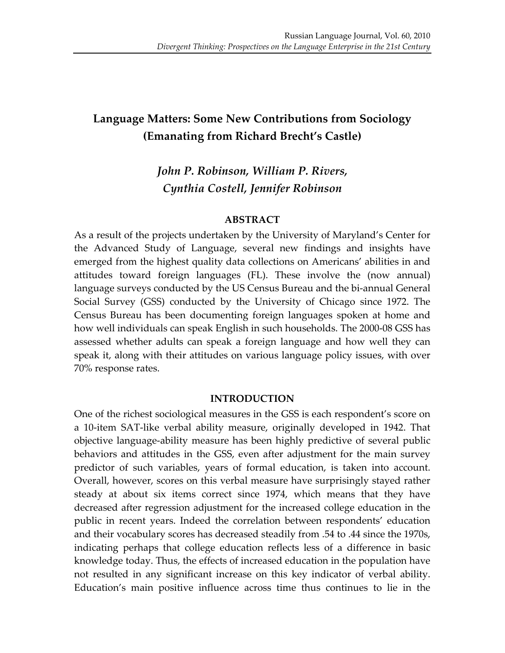# **Language Matters: Some New Contributions from Sociology (Emanating from Richard Brecht's Castle)**

## *John%P.%Robinson,%William%P.%Rivers, Cynthia%Costell,%Jennifer%Robinson*

#### **ABSTRACT**

As a result of the projects undertaken by the University of Maryland's Center for the Advanced Study of Language, several new findings and insights have emerged from the highest quality data collections on Americans' abilities in and attitudes toward foreign languages (FL). These involve the (now annual) language surveys conducted by the US Census Bureau and the bi-annual General Social Survey (GSS) conducted by the University of Chicago since 1972. The Census Bureau has been documenting foreign languages spoken at home and how well individuals can speak English in such households. The 2000-08 GSS has assessed whether adults can speak a foreign language and how well they can speak it, along with their attitudes on various language policy issues, with over 70% response rates.

#### **INTRODUCTION**

One of the richest sociological measures in the GSS is each respondent's score on a 10-item SAT-like verbal ability measure, originally developed in 1942. That objective language-ability measure has been highly predictive of several public behaviors and attitudes in the GSS, even after adjustment for the main survey predictor of such variables, years of formal education, is taken into account. Overall, however, scores on this verbal measure have surprisingly stayed rather steady at about six items correct since 1974, which means that they have decreased after regression adjustment for the increased college education in the public in recent years. Indeed the correlation between respondents' education and their vocabulary scores has decreased steadily from .54 to .44 since the 1970s, indicating perhaps that college education reflects less of a difference in basic knowledge today. Thus, the effects of increased education in the population have not resulted in any significant increase on this key indicator of verbal ability. Education's main positive influence across time thus continues to lie in the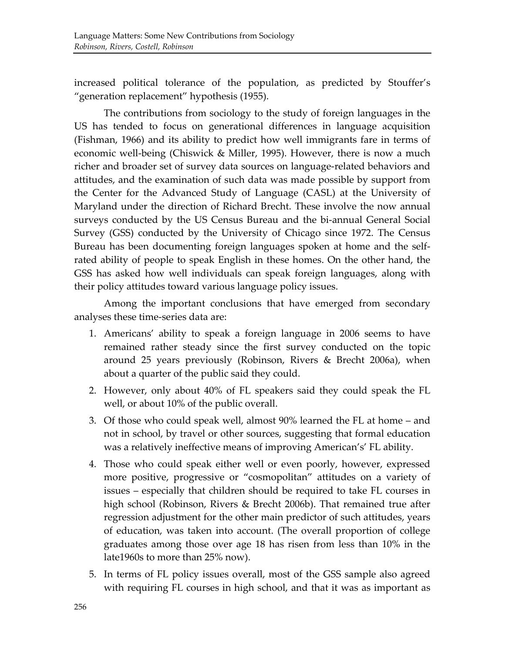increased political tolerance of the population, as predicted by Stouffer's "generation replacement" hypothesis (1955).

The contributions from sociology to the study of foreign languages in the US has tended to focus on generational differences in language acquisition (Fishman, 1966) and its ability to predict how well immigrants fare in terms of economic well-being (Chiswick & Miller, 1995). However, there is now a much richer and broader set of survey data sources on language-related behaviors and attitudes, and the examination of such data was made possible by support from the Center for the Advanced Study of Language (CASL) at the University of Maryland under the direction of Richard Brecht. These involve the now annual surveys conducted by the US Census Bureau and the bi-annual General Social Survey (GSS) conducted by the University of Chicago since 1972. The Census Bureau has been documenting foreign languages spoken at home and the selfrated ability of people to speak English in these homes. On the other hand, the GSS has asked how well individuals can speak foreign languages, along with their policy attitudes toward various language policy issues.

Among the important conclusions that have emerged from secondary analyses these time-series data are:

- 1. Americans' ability to speak a foreign language in 2006 seems to have remained rather steady since the first survey conducted on the topic around 25 years previously (Robinson, Rivers & Brecht 2006a), when about a quarter of the public said they could.
- 2. However, only about 40% of FL speakers said they could speak the FL well, or about 10% of the public overall.
- 3. Of those who could speak well, almost 90% learned the FL at home and not in school, by travel or other sources, suggesting that formal education was a relatively ineffective means of improving American's' FL ability.
- 4. Those who could speak either well or even poorly, however, expressed more positive, progressive or "cosmopolitan" attitudes on a variety of issues – especially that children should be required to take FL courses in high school (Robinson, Rivers & Brecht 2006b). That remained true after regression adjustment for the other main predictor of such attitudes, years of education, was taken into account. (The overall proportion of college graduates among those over age 18 has risen from less than 10% in the late1960s to more than 25% now).
- 5. In terms of FL policy issues overall, most of the GSS sample also agreed with requiring FL courses in high school, and that it was as important as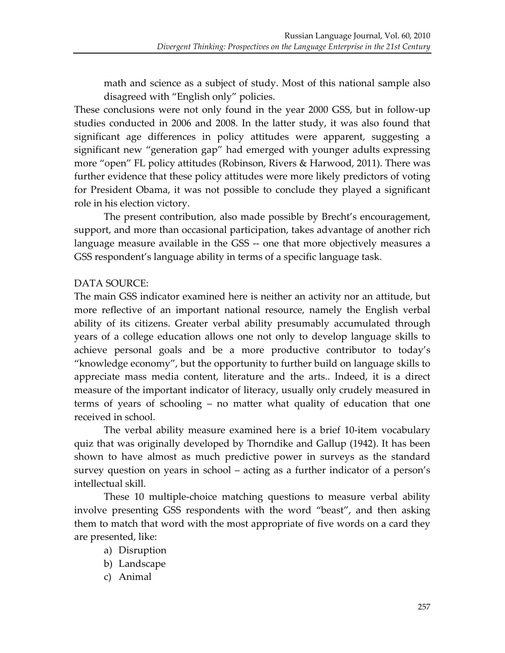math and science as a subject of study. Most of this national sample also disagreed with "English only" policies.

These conclusions were not only found in the year 2000 GSS, but in follow-up studies conducted in 2006 and 2008. In the latter study, it was also found that significant age differences in policy attitudes were apparent, suggesting a significant new "generation gap" had emerged with younger adults expressing more "open" FL policy attitudes (Robinson, Rivers & Harwood, 2011). There was further evidence that these policy attitudes were more likely predictors of voting for President Obama, it was not possible to conclude they played a significant role in his election victory.

The present contribution, also made possible by Brecht's encouragement, support, and more than occasional participation, takes advantage of another rich language measure available in the GSS -- one that more objectively measures a GSS respondent's language ability in terms of a specific language task.

### DATA SOURCE:

The main GSS indicator examined here is neither an activity nor an attitude, but more reflective of an important national resource, namely the English verbal ability of its citizens. Greater verbal ability presumably accumulated through years of a college education allows one not only to develop language skills to achieve personal goals and be a more productive contributor to today's "knowledge economy", but the opportunity to further build on language skills to appreciate mass media content, literature and the arts.. Indeed, it is a direct measure of the important indicator of literacy, usually only crudely measured in terms of years of schooling – no matter what quality of education that one received in school.

The verbal ability measure examined here is a brief 10-item vocabulary quiz that was originally developed by Thorndike and Gallup (1942). It has been shown to have almost as much predictive power in surveys as the standard survey question on years in school – acting as a further indicator of a person's intellectual skill.

These 10 multiple-choice matching questions to measure verbal ability involve presenting GSS respondents with the word "beast", and then asking them to match that word with the most appropriate of five words on a card they are presented, like:

- a) Disruption
- b) Landscape
- c) Animal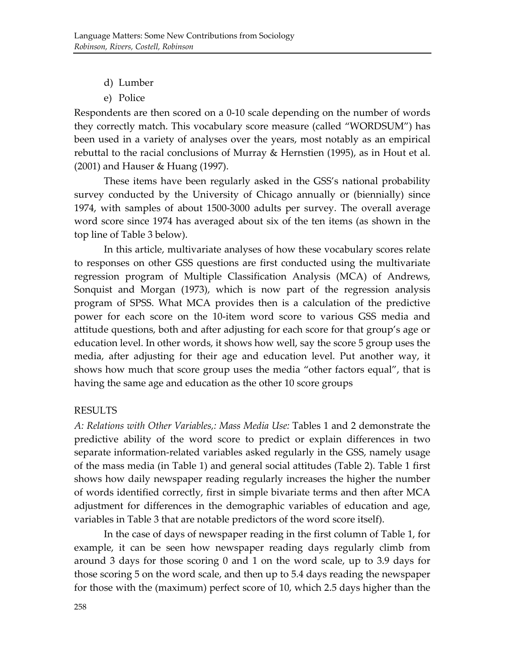- d) Lumber
- e) Police

Respondents are then scored on a 0-10 scale depending on the number of words they correctly match. This vocabulary score measure (called "WORDSUM") has been used in a variety of analyses over the years, most notably as an empirical rebuttal to the racial conclusions of Murray & Hernstien (1995), as in Hout et al. (2001) and Hauser & Huang (1997).

These items have been regularly asked in the GSS's national probability survey conducted by the University of Chicago annually or (biennially) since 1974, with samples of about 1500-3000 adults per survey. The overall average word score since 1974 has averaged about six of the ten items (as shown in the top line of Table 3 below).

In this article, multivariate analyses of how these vocabulary scores relate to responses on other GSS questions are first conducted using the multivariate regression program of Multiple Classification Analysis (MCA) of Andrews, Sonquist and Morgan (1973), which is now part of the regression analysis program of SPSS. What MCA provides then is a calculation of the predictive power for each score on the 10-item word score to various GSS media and attitude questions, both and after adjusting for each score for that group's age or education level. In other words, it shows how well, say the score 5 group uses the media, after adjusting for their age and education level. Put another way, it shows how much that score group uses the media "other factors equal", that is having the same age and education as the other 10 score groups

#### RESULTS

A: Relations with Other Variables,: Mass Media Use: Tables 1 and 2 demonstrate the predictive ability of the word score to predict or explain differences in two separate information-related variables asked regularly in the GSS, namely usage of the mass media (in Table 1) and general social attitudes (Table 2). Table 1 first shows how daily newspaper reading regularly increases the higher the number of words identified correctly, first in simple bivariate terms and then after MCA adjustment for differences in the demographic variables of education and age, variables in Table 3 that are notable predictors of the word score itself).

In the case of days of newspaper reading in the first column of Table 1, for example, it can be seen how newspaper reading days regularly climb from around 3 days for those scoring  $0$  and  $1$  on the word scale, up to 3.9 days for those scoring 5 on the word scale, and then up to 5.4 days reading the newspaper for those with the (maximum) perfect score of 10, which 2.5 days higher than the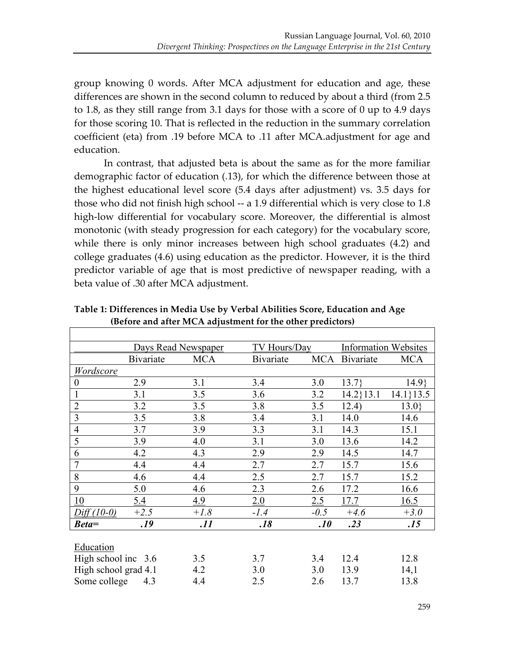group knowing 0 words. After MCA adjustment for education and age, these differences are shown in the second column to reduced by about a third (from 2.5) to 1.8, as they still range from 3.1 days for those with a score of 0 up to 4.9 days for those scoring 10. That is reflected in the reduction in the summary correlation coefficient (eta) from .19 before MCA to .11 after MCA.adjustment for age and education.

In contrast, that adjusted beta is about the same as for the more familiar demographic factor of education (.13), for which the difference between those at the highest educational level score (5.4 days after adjustment) vs. 3.5 days for those who did not finish high school  $-$  a 1.9 differential which is very close to 1.8 high-low differential for vocabulary score. Moreover, the differential is almost monotonic (with steady progression for each category) for the vocabulary score, while there is only minor increases between high school graduates (4.2) and college graduates (4.6) using education as the predictor. However, it is the third predictor variable of age that is most predictive of newspaper reading, with a beta value of .30 after MCA adjustment.

|                       | Days Read Newspaper |            | <b>TV Hours/Day</b> |            | <b>Information Websites</b> |               |
|-----------------------|---------------------|------------|---------------------|------------|-----------------------------|---------------|
|                       | <b>Bivariate</b>    | <b>MCA</b> | <b>Bivariate</b>    | <b>MCA</b> | <b>B</b> ivariate           | <b>MCA</b>    |
| Wordscore             |                     |            |                     |            |                             |               |
| $\boldsymbol{0}$      | 2.9                 | 3.1        | 3.4                 | 3.0        | 13.7                        | 14.9          |
| $\mathbf{1}$          | 3.1                 | 3.5        | 3.6                 | 3.2        | $14.2$ } 13.1               | $14.1$ } 13.5 |
| $\overline{2}$        | 3.2                 | 3.5        | 3.8                 | 3.5        | 12.4)                       | 13.0          |
| 3                     | 3.5                 | 3.8        | 3.4                 | 3.1        | 14.0                        | 14.6          |
| $\overline{4}$        | 3.7                 | 3.9        | 3.3                 | 3.1        | 14.3                        | 15.1          |
| 5                     | 3.9                 | 4.0        | 3.1                 | 3.0        | 13.6                        | 14.2          |
| 6                     | 4.2                 | 4.3        | 2.9                 | 2.9        | 14.5                        | 14.7          |
| $\overline{7}$        | 4.4                 | 4.4        | 2.7                 | 2.7        | 15.7                        | 15.6          |
| 8                     | 4.6                 | 4.4        | 2.5                 | 2.7        | 15.7                        | 15.2          |
| 9                     | 5.0                 | 4.6        | 2.3                 | 2.6        | 17.2                        | 16.6          |
| 10                    | 5.4                 | 4.9        | 2.0                 | 2.5        | 17.7                        | 16.5          |
| $Diff(10-0)$          | $+2.5$              | $+1.8$     | $-1.4$              | $-0.5$     | $+4.6$                      | $+3.0$        |
| $Beta =$              | .19                 | .11        | .18                 | .10        | .23                         | .15           |
|                       |                     |            |                     |            |                             |               |
| Education             |                     |            |                     |            |                             |               |
| High school inc $3.6$ |                     | 3.5        | 3.7                 | 3.4        | 12.4                        | 12.8          |
| High school grad 4.1  |                     | 4.2        | 3.0                 | 3.0        | 13.9                        | 14,1          |

Some college 4.3 4.4 2.5 2.6 13.7 13.8

Table 1: Differences in Media Use by Verbal Abilities Score, Education and Age **(Before and after MCA adjustment for the other predictors)**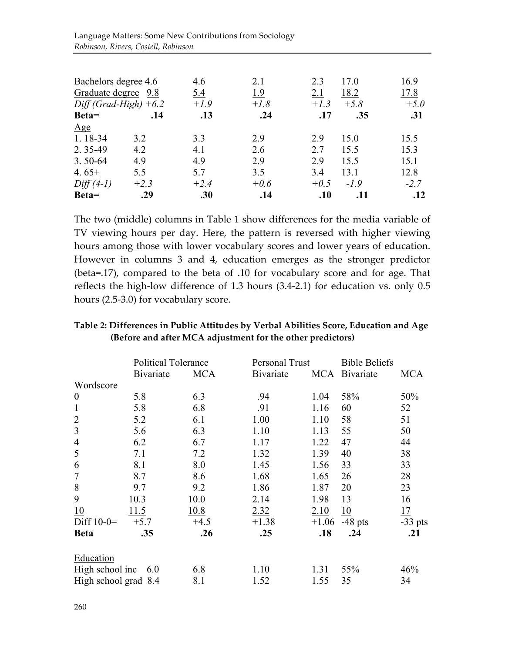| Bachelors degree 4.6    |        | 4.6    | 2.1    | 2.3    | 17.0   | 16.9   |
|-------------------------|--------|--------|--------|--------|--------|--------|
| Graduate degree 9.8     |        | 5.4    | 1.9    | 2.1    | 18.2   | 17.8   |
| $Diff(Grad-High) + 6.2$ |        | $+1.9$ | $+1.8$ | $+1.3$ | $+5.8$ | $+5.0$ |
| Beta=                   | .14    | .13    | .24    | .17    | .35    | .31    |
| Age                     |        |        |        |        |        |        |
| 1.18-34                 | 3.2    | 3.3    | 2.9    | 2.9    | 15.0   | 15.5   |
| 2.35-49                 | 4.2    | 4.1    | 2.6    | 2.7    | 15.5   | 15.3   |
| $3.50 - 64$             | 4.9    | 4.9    | 2.9    | 2.9    | 15.5   | 15.1   |
| 4.65+                   | 5.5    | 5.7    | 3.5    | 3.4    | 13.1   | 12.8   |
| $Diff(4-1)$             | $+2.3$ | $+2.4$ | $+0.6$ | $+0.5$ | $-1.9$ | $-2.7$ |
| Beta=                   | .29    | .30    | .14    | .10    | .11    | .12    |

The two (middle) columns in Table 1 show differences for the media variable of TV viewing hours per day. Here, the pattern is reversed with higher viewing hours among those with lower vocabulary scores and lower years of education. However in columns 3 and 4, education emerges as the stronger predictor (beta=.17), compared to the beta of .10 for vocabulary score and for age. That reflects the high-low difference of  $1.3$  hours  $(3.4-2.1)$  for education vs. only  $0.5$ hours (2.5-3.0) for vocabulary score.

#### Table 2: Differences in Public Attitudes by Verbal Abilities Score, Education and Age **(Before and after MCA adjustment for the other predictors)**

|                      | <b>Political Tolerance</b> |            | Personal Trust    |         | <b>Bible Beliefs</b> |            |
|----------------------|----------------------------|------------|-------------------|---------|----------------------|------------|
|                      | <b>B</b> ivariate          | <b>MCA</b> | <b>B</b> ivariate |         | MCA Bivariate        | <b>MCA</b> |
| Wordscore            |                            |            |                   |         |                      |            |
| $\boldsymbol{0}$     | 5.8                        | 6.3        | .94               | 1.04    | 58%                  | 50%        |
| $\mathbf{1}$         | 5.8                        | 6.8        | .91               | 1.16    | 60                   | 52         |
| $\overline{2}$       | 5.2                        | 6.1        | 1.00              | 1.10    | 58                   | 51         |
| $\mathfrak{Z}$       | 5.6                        | 6.3        | 1.10              | 1.13    | 55                   | 50         |
| $\overline{4}$       | 6.2                        | 6.7        | 1.17              | 1.22    | 47                   | 44         |
| 5                    | 7.1                        | 7.2        | 1.32              | 1.39    | 40                   | 38         |
| 6                    | 8.1                        | 8.0        | 1.45              | 1.56    | 33                   | 33         |
| $\overline{7}$       | 8.7                        | 8.6        | 1.68              | 1.65    | 26                   | 28         |
| 8                    | 9.7                        | 9.2        | 1.86              | 1.87    | 20                   | 23         |
| 9                    | 10.3                       | 10.0       | 2.14              | 1.98    | 13                   | 16         |
| 10                   | 11.5                       | 10.8       | 2.32              | 2.10    | 10                   | 17         |
| Diff $10-0=$         | $+5.7$                     | $+4.5$     | $+1.38$           | $+1.06$ | $-48$ pts            | $-33$ pts  |
| <b>Beta</b>          | .35                        | .26        | .25               | .18     | .24                  | .21        |
| <b>Education</b>     |                            |            |                   |         |                      |            |
| High school inc      | 6.0                        | 6.8        | 1.10              | 1.31    | 55%                  | 46%        |
| High school grad 8.4 |                            | 8.1        | 1.52              | 1.55    | 35                   | 34         |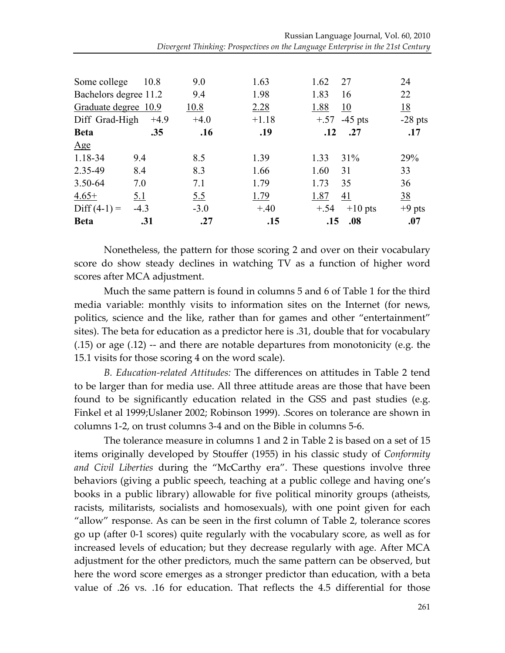| Some college          | 10.8       | 9.0        | 1.63    | 1.62   | 27             | 24        |
|-----------------------|------------|------------|---------|--------|----------------|-----------|
| Bachelors degree 11.2 |            | 9.4        | 1.98    | 1.83   | 16             | 22        |
| Graduate degree 10.9  |            | 10.8       | 2.28    | 1.88   | <u>10</u>      | <u>18</u> |
| Diff Grad-High        | $+4.9$     | $+4.0$     | $+1.18$ |        | $+.57 -45$ pts | $-28$ pts |
| <b>Beta</b>           | .35        | .16        | .19     | .12    | .27            | .17       |
| Age                   |            |            |         |        |                |           |
| 1.18-34               | 9.4        | 8.5        | 1.39    | 1.33   | 31%            | 29%       |
| 2.35-49               | 8.4        | 8.3        | 1.66    | 1.60   | 31             | 33        |
| 3.50-64               | 7.0        | 7.1        | 1.79    | 1.73   | 35             | 36        |
| $4.65+$               | <u>5.1</u> | <u>5.5</u> | 1.79    | 1.87   | 41             | <u>38</u> |
| $Diff(4-1) =$         | $-4.3$     | $-3.0$     | $+.40$  | $+.54$ | $+10$ pts      | $+9$ pts  |
| <b>Beta</b>           | .31        | .27        | .15     | .15    | .08            | .07       |

Nonetheless, the pattern for those scoring 2 and over on their vocabulary score do show steady declines in watching TV as a function of higher word scores after MCA adjustment.

Much the same pattern is found in columns 5 and 6 of Table 1 for the third media variable: monthly visits to information sites on the Internet (for news, politics, science and the like, rather than for games and other "entertainment" sites). The beta for education as a predictor here is .31, double that for vocabulary  $(0.15)$  or age  $(0.12)$  -- and there are notable departures from monotonicity (e.g. the 15.1 visits for those scoring 4 on the word scale).

*B. Education-related Attitudes:* The differences on attitudes in Table 2 tend to be larger than for media use. All three attitude areas are those that have been found to be significantly education related in the GSS and past studies (e.g. Finkel et al 1999;Uslaner 2002; Robinson 1999). .Scores on tolerance are shown in columns 1-2, on trust columns 3-4 and on the Bible in columns 5-6.

The tolerance measure in columns 1 and 2 in Table 2 is based on a set of 15 items' originally' developed' by' Stouffer' (1955)'in' his' classic' study' of'*Conformity)* and Civil Liberties during the "McCarthy era". These questions involve three behaviors (giving a public speech, teaching at a public college and having one's books in a public library) allowable for five political minority groups (atheists, racists, militarists, socialists and homosexuals), with one point given for each "allow" response. As can be seen in the first column of Table 2, tolerance scores go up (after 0-1 scores) quite regularly with the vocabulary score, as well as for increased levels of education; but they decrease regularly with age. After MCA adjustment for the other predictors, much the same pattern can be observed, but here the word score emerges as a stronger predictor than education, with a beta value of .26 vs. .16 for education. That reflects the 4.5 differential for those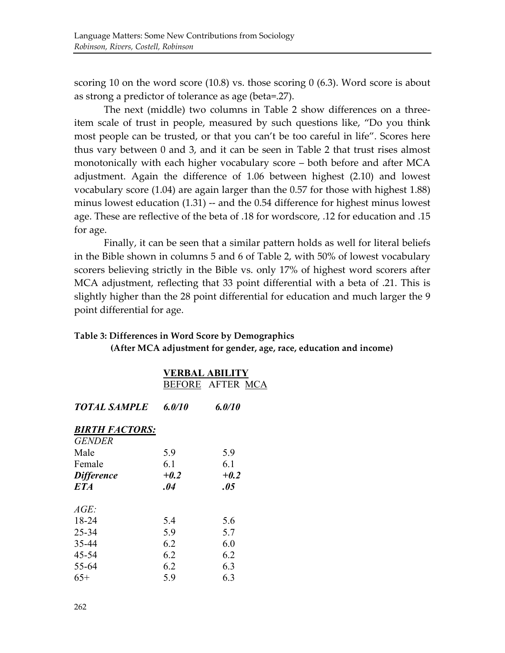scoring 10 on the word score (10.8) vs. those scoring  $0(6.3)$ . Word score is about as strong a predictor of tolerance as age (beta=.27).

The next (middle) two columns in Table 2 show differences on a threeitem scale of trust in people, measured by such questions like, "Do you think most people can be trusted, or that you can't be too careful in life". Scores here thus vary between  $0$  and  $3$ , and it can be seen in Table 2 that trust rises almost monotonically with each higher vocabulary score – both before and after MCA adjustment. Again the difference of 1.06 between highest (2.10) and lowest vocabulary score (1.04) are again larger than the 0.57 for those with highest 1.88) minus lowest education  $(1.31)$  -- and the 0.54 difference for highest minus lowest age. These are reflective of the beta of .18 for wordscore, .12 for education and .15 for age.

Finally, it can be seen that a similar pattern holds as well for literal beliefs in the Bible shown in columns 5 and 6 of Table 2, with 50% of lowest vocabulary scorers believing strictly in the Bible vs. only 17% of highest word scorers after MCA adjustment, reflecting that 33 point differential with a beta of .21. This is slightly higher than the 28 point differential for education and much larger the 9 point differential for age.

#### Table 3: Differences in Word Score by Demographics

**(After MCA adjustment for gender, age, race, education and income)** 

|                       | <b>VERBAL ABILITY</b><br><b>BEFORE AFTER MCA</b> |        |  |  |
|-----------------------|--------------------------------------------------|--------|--|--|
| TOTAL SAMPLE          | 6.0/10                                           | 6.0/10 |  |  |
| <b>BIRTH FACTORS:</b> |                                                  |        |  |  |
| <b>GENDER</b><br>Male | 5.9                                              | 5.9    |  |  |
| Female                | 6.1                                              | 6.1    |  |  |
| <b>Difference</b>     | $+0.2$                                           | $+0.2$ |  |  |
| <b>ETA</b>            | .04                                              | .05    |  |  |
| $AGE$ :               |                                                  |        |  |  |
| 18-24                 | 5.4                                              | 5.6    |  |  |
| 25-34                 | 5.9                                              | 5.7    |  |  |
| 35-44                 | 6.2                                              | 6.0    |  |  |
| 45-54                 | 6.2                                              | 6.2    |  |  |
| 55-64                 | 6.2                                              | 6.3    |  |  |
| $65+$                 | 5.9                                              | 6.3    |  |  |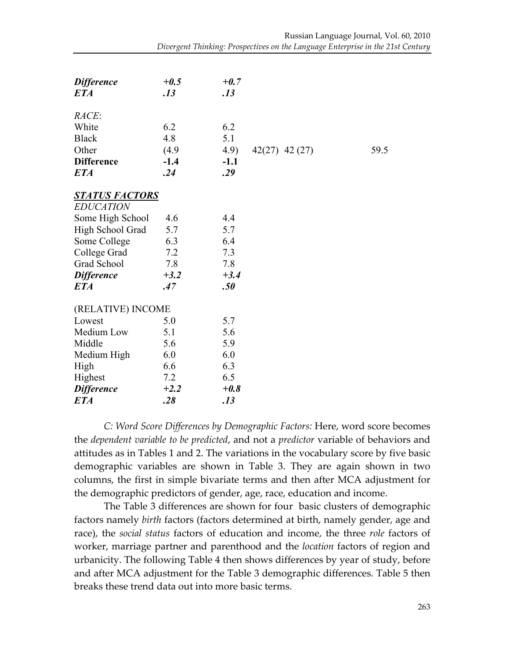| <b>Difference</b><br><b>ETA</b> | $+0.5$<br>.13 | $+0.7$<br>.13 |                  |      |
|---------------------------------|---------------|---------------|------------------|------|
| RACE:                           |               |               |                  |      |
| White                           | 6.2           | 6.2           |                  |      |
| <b>Black</b>                    | 4.8           | 5.1           |                  |      |
| Other                           | (4.9)         | 4.9)          | $42(27)$ 42 (27) | 59.5 |
| <b>Difference</b>               | $-1.4$        | $-1.1$        |                  |      |
| <b>ETA</b>                      | .24           | .29           |                  |      |
| <u>STATUS FACTORS</u>           |               |               |                  |      |
| <b>EDUCATION</b>                |               |               |                  |      |
| Some High School                | 4.6           | 4.4           |                  |      |
| High School Grad                | 5.7           | 5.7           |                  |      |
| Some College                    | 6.3           | 6.4           |                  |      |
| College Grad                    | 7.2           | 7.3           |                  |      |
| Grad School                     | 7.8           | 7.8           |                  |      |
| <b>Difference</b>               | $+3.2$        | $+3.4$        |                  |      |
| <b>ETA</b>                      | .47           | .50           |                  |      |
| (RELATIVE) INCOME               |               |               |                  |      |
| Lowest                          | 5.0           | 5.7           |                  |      |
| Medium Low                      | 5.1           | 5.6           |                  |      |
| Middle                          | 5.6           | 5.9           |                  |      |
| Medium High                     | 6.0           | 6.0           |                  |      |
| High                            | 6.6           | 6.3           |                  |      |
| Highest                         | 7.2           | 6.5           |                  |      |
| <b>Difference</b>               | $+2.2$        | $+0.8$        |                  |      |
| <b>ETA</b>                      | .28           | .13           |                  |      |

*C:)Word)Score)Differences)by)Demographic)Factors:)*Here,'word'score'becomes' the *dependent variable to be predicted*, and not a *predictor* variable of behaviors and attitudes as in Tables 1 and 2. The variations in the vocabulary score by five basic demographic variables are shown in Table 3. They are again shown in two columns, the first in simple bivariate terms and then after MCA adjustment for the demographic predictors of gender, age, race, education and income.

The Table 3 differences are shown for four basic clusters of demographic factors namely *birth* factors (factors determined at birth, namely gender, age and race), the *social status* factors of education and income, the three *role* factors of worker, marriage partner and parenthood and the *location* factors of region and urbanicity. The following Table 4 then shows differences by year of study, before and after MCA adjustment for the Table 3 demographic differences. Table 5 then breaks these trend data out into more basic terms.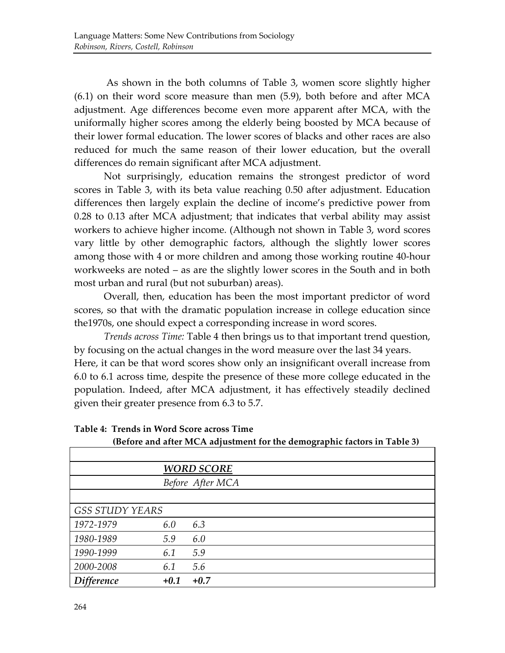As shown in the both columns of Table 3, women score slightly higher  $(6.1)$  on their word score measure than men  $(5.9)$ , both before and after MCA adjustment. Age differences become even more apparent after MCA, with the uniformally higher scores among the elderly being boosted by MCA because of their lower formal education. The lower scores of blacks and other races are also reduced for much the same reason of their lower education, but the overall differences do remain significant after MCA adjustment.

Not surprisingly, education remains the strongest predictor of word scores in Table 3, with its beta value reaching 0.50 after adjustment. Education differences then largely explain the decline of income's predictive power from 0.28 to 0.13 after MCA adjustment; that indicates that verbal ability may assist workers to achieve higher income. (Although not shown in Table 3, word scores' vary little by other demographic factors, although the slightly lower scores among those with 4 or more children and among those working routine 40-hour workweeks are noted – as are the slightly lower scores in the South and in both most urban and rural (but not suburban) areas).

Overall, then, education has been the most important predictor of word scores, so that with the dramatic population increase in college education since the1970s, one should expect a corresponding increase in word scores.

*Trends across Time:* Table 4 then brings us to that important trend question, by focusing on the actual changes in the word measure over the last 34 years. Here, it can be that word scores show only an insignificant overall increase from 6.0 to 6.1 across time, despite the presence of these more college educated in the population. Indeed, after MCA adjustment, it has effectively steadily declined given their greater presence from 6.3 to 5.7.

|                        | <b>WORD SCORE</b> |        |  |  |  |
|------------------------|-------------------|--------|--|--|--|
|                        | Before After MCA  |        |  |  |  |
|                        |                   |        |  |  |  |
| <b>GSS STUDY YEARS</b> |                   |        |  |  |  |
| 1972-1979              | 6.0               | 6.3    |  |  |  |
| 1980-1989              | 5.9               | 6.0    |  |  |  |
| 1990-1999              | 6.1               | 5.9    |  |  |  |
| 2000-2008              | 6.1               | 5.6    |  |  |  |
| <b>Difference</b>      | $+0.1$            | $+0.7$ |  |  |  |

Table 4: Trends in Word Score across Time

(Before and after MCA adjustment for the demographic factors in Table 3)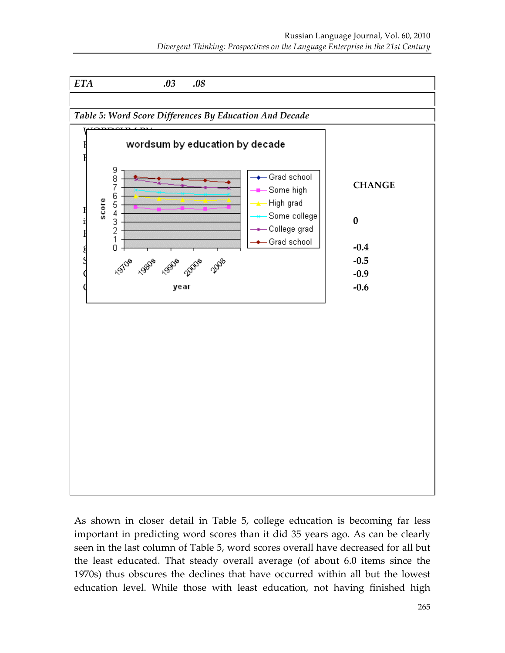

As shown in closer detail in Table 5, college education is becoming far less important in predicting word scores than it did 35 years ago. As can be clearly seen in the last column of Table 5, word scores overall have decreased for all but the least educated. That steady overall average (of about 6.0 items since the 1970s) thus obscures the declines that have occurred within all but the lowest education level. While those with least education, not having finished high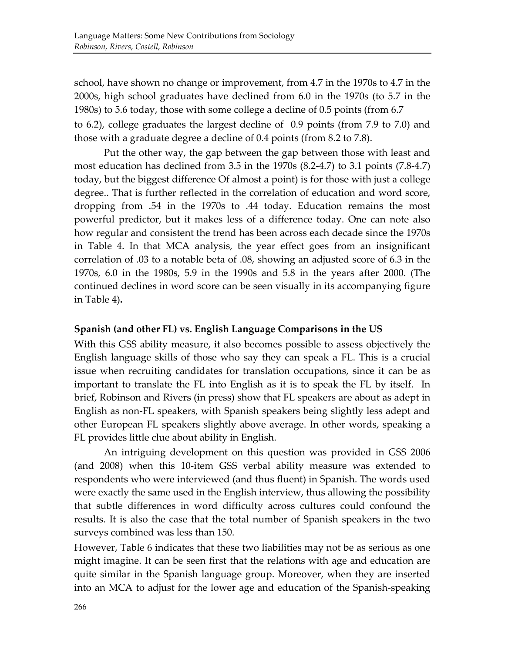school, have shown no change or improvement, from 4.7 in the 1970s to 4.7 in the  $2000s$ , high school graduates have declined from  $6.0$  in the  $1970s$  (to  $5.7$  in the 1980s) to 5.6 today, those with some college a decline of 0.5 points (from 6.7) to 6.2), college graduates the largest decline of 0.9 points (from 7.9 to 7.0) and those with a graduate degree a decline of 0.4 points (from 8.2 to 7.8).

Put the other way, the gap between the gap between those with least and most education has declined from  $3.5$  in the  $1970s$  (8.2-4.7) to  $3.1$  points (7.8-4.7) today, but the biggest difference Of almost a point) is for those with just a college degree..'That is further reflected in the correlation of education and word score, dropping' from' .54' in' the' 1970s' to' .44' today.' Education' remains' the' most' powerful predictor, but it makes less of a difference today. One can note also how regular and consistent the trend has been across each decade since the 1970s in Table 4. In that MCA analysis, the year effect goes from an insignificant correlation of .03 to a notable beta of .08, showing an adjusted score of 6.3 in the 1970s, 6.0 in the 1980s, 5.9 in the 1990s and 5.8 in the years after 2000. (The continued declines in word score can be seen visually in its accompanying figure in Table 4).

#### Spanish (and other FL) vs. English Language Comparisons in the US

With this GSS ability measure, it also becomes possible to assess objectively the English language skills of those who say they can speak a FL. This is a crucial issue when recruiting candidates for translation occupations, since it can be as important to translate the FL into English as it is to speak the FL by itself. In brief, Robinson and Rivers (in press) show that FL speakers are about as adept in English as non-FL speakers, with Spanish speakers being slightly less adept and other European FL speakers slightly above average. In other words, speaking a FL provides little clue about ability in English.

An intriguing development on this question was provided in GSS 2006 (and  $2008$ ) when this  $10$ -item GSS verbal ability measure was extended to respondents who were interviewed (and thus fluent) in Spanish. The words used were exactly the same used in the English interview, thus allowing the possibility that subtle differences in word difficulty across cultures could confound the results. It is also the case that the total number of Spanish speakers in the two surveys combined was less than 150.

However, Table 6 indicates that these two liabilities may not be as serious as one might imagine. It can be seen first that the relations with age and education are quite similar in the Spanish language group. Moreover, when they are inserted into an MCA to adjust for the lower age and education of the Spanish-speaking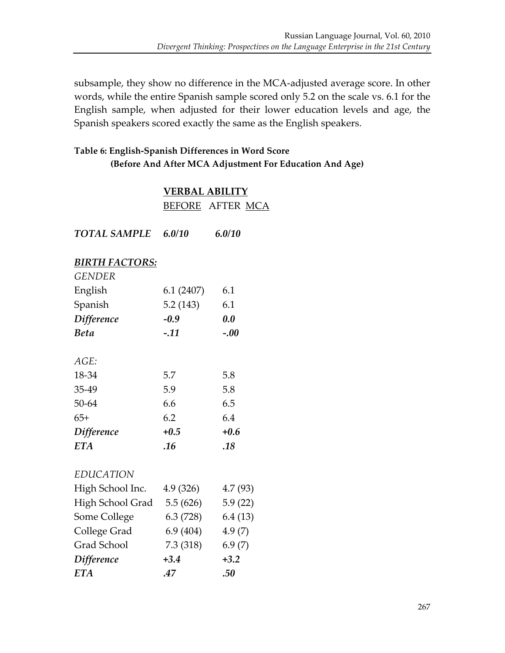subsample, they show no difference in the MCA-adjusted average score. In other words, while the entire Spanish sample scored only 5.2 on the scale vs. 6.1 for the English sample, when adjusted for their lower education levels and age, the Spanish speakers scored exactly the same as the English speakers.

### Table 6: English-Spanish Differences in Word Score **(Before And After MCA Adjustment For Education And Age)**

### **VERBAL ABILITY** BEFORE AFTER MCA

| <b>TOTAL SAMPLE</b>   | 6.0/10    | 6.0/10  |
|-----------------------|-----------|---------|
| <b>BIRTH FACTORS:</b> |           |         |
| <b>GENDER</b>         |           |         |
| English               | 6.1(2407) | 6.1     |
| Spanish               | 5.2(143)  | 6.1     |
| <b>Difference</b>     | $-0.9$    | 0.0     |
| <b>Beta</b>           | $-.11$    | $-.00$  |
| AGE:                  |           |         |
| 18-34                 | 5.7       | 5.8     |
| 35-49                 | 5.9       | 5.8     |
| 50-64                 | 6.6       | 6.5     |
| $65+$                 | 6.2       | 6.4     |
| <b>Difference</b>     | $+0.5$    | $+0.6$  |
| <b>ETA</b>            | .16       | .18     |
| <b>EDUCATION</b>      |           |         |
| High School Inc.      | 4.9(326)  | 4.7(93) |
| High School Grad      | 5.5 (626) | 5.9(22) |
| Some College          | 6.3(728)  | 6.4(13) |
| College Grad          | 6.9(404)  | 4.9(7)  |
| Grad School           | 7.3 (318) | 6.9(7)  |
| <b>Difference</b>     | $+3.4$    | $+3.2$  |
| <b>ETA</b>            | .47       | .50     |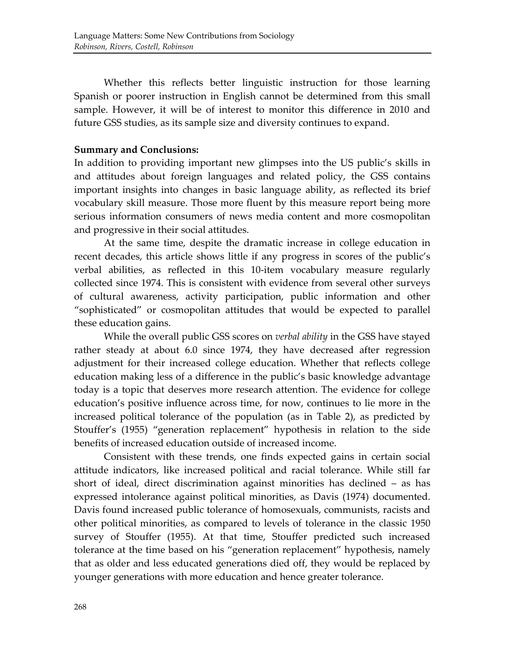Whether this reflects better linguistic instruction for those learning Spanish or poorer instruction in English cannot be determined from this small sample. However, it will be of interest to monitor this difference in 2010 and future GSS studies, as its sample size and diversity continues to expand.

### **Summary and Conclusions:**

In addition to providing important new glimpses into the US public's skills in and attitudes about foreign languages and related policy, the GSS contains important insights into changes in basic language ability, as reflected its brief vocabulary skill measure. Those more fluent by this measure report being more serious information consumers of news media content and more cosmopolitan and progressive in their social attitudes.

At the same time, despite the dramatic increase in college education in recent decades, this article shows little if any progress in scores of the public's verbal abilities, as reflected in this 10-item vocabulary measure regularly collected since 1974. This is consistent with evidence from several other surveys of cultural awareness, activity participation, public information and other "sophisticated" or cosmopolitan attitudes that would be expected to parallel these education gains.

While the overall public GSS scores on *verbal ability* in the GSS have stayed rather steady at about 6.0 since 1974, they have decreased after regression adjustment for their increased college education. Whether that reflects college education making less of a difference in the public's basic knowledge advantage today is a topic that deserves more research attention. The evidence for college education's positive influence across time, for now, continues to lie more in the increased political tolerance of the population (as in Table 2), as predicted by Stouffer's (1955) "generation replacement" hypothesis in relation to the side benefits of increased education outside of increased income.

Consistent with these trends, one finds expected gains in certain social attitude indicators, like increased political and racial tolerance. While still far short of ideal, direct discrimination against minorities has declined – as has expressed intolerance against political minorities, as Davis (1974) documented. Davis found increased public tolerance of homosexuals, communists, racists and other political minorities, as compared to levels of tolerance in the classic 1950 survey of Stouffer (1955). At that time, Stouffer predicted such increased tolerance at the time based on his "generation replacement" hypothesis, namely that as older and less educated generations died off, they would be replaced by younger generations with more education and hence greater tolerance.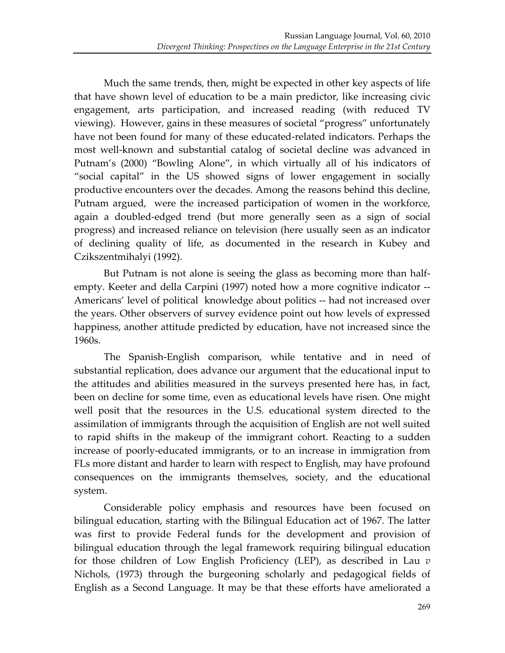Much the same trends, then, might be expected in other key aspects of life that have shown level of education to be a main predictor, like increasing civic engagement, arts participation, and increased reading (with reduced TV) viewing). However, gains in these measures of societal "progress" unfortunately have not been found for many of these educated-related indicators. Perhaps the most well-known and substantial catalog of societal decline was advanced in Putnam's (2000) "Bowling Alone", in which virtually all of his indicators of "social capital" in the US showed signs of lower engagement in socially productive encounters over the decades. Among the reasons behind this decline, Putnam argued, were the increased participation of women in the workforce, again a doubled-edged trend (but more generally seen as a sign of social progress) and increased reliance on television (here usually seen as an indicator of declining quality of life, as documented in the research in Kubey and Czikszentmihalyi (1992).

But Putnam is not alone is seeing the glass as becoming more than halfempty. Keeter and della Carpini (1997) noted how a more cognitive indicator --Americans' level of political knowledge about politics -- had not increased over the years. Other observers of survey evidence point out how levels of expressed happiness, another attitude predicted by education, have not increased since the 1960s.

The Spanish-English comparison, while tentative and in need of substantial replication, does advance our argument that the educational input to the attitudes and abilities measured in the surveys presented here has, in fact, been on decline for some time, even as educational levels have risen. One might well posit that the resources in the U.S. educational system directed to the assimilation of immigrants through the acquisition of English are not well suited to rapid shifts in the makeup of the immigrant cohort. Reacting to a sudden increase of poorly-educated immigrants, or to an increase in immigration from FLs more distant and harder to learn with respect to English, may have profound consequences on the immigrants themselves, society, and the educational system.

Considerable policy emphasis and resources have been focused on bilingual education, starting with the Bilingual Education act of 1967. The latter was first to provide Federal funds for the development and provision of bilingual education through the legal framework requiring bilingual education for those children of Low English Proficiency (LEP), as described in Lau  $v$ Nichols, (1973) through the burgeoning scholarly and pedagogical fields of English as a Second Language. It may be that these efforts have ameliorated a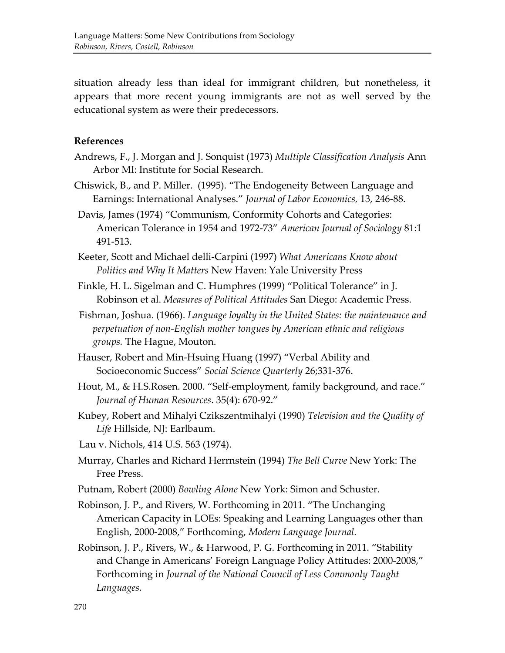situation already less than ideal for immigrant children, but nonetheless, it appears that more recent young immigrants are not as well served by the educational system as were their predecessors.

#### **References**

- Andrews, F., J. Morgan and J. Sonquist (1973) *Multiple Classification Analysis* Ann Arbor MI: Institute for Social Research.
- Chiswick, B., and P. Miller. (1995). "The Endogeneity Between Language and Earnings: International Analyses." *Journal of Labor Economics,* 13, 246-88.
- Davis, James (1974) "Communism, Conformity Cohorts and Categories: American Tolerance in 1954 and 1972-73" American Journal of Sociology 81:1 491-513.
- Keeter, Scott and Michael delli-Carpini (1997) *What Americans Know about Politics and Why It Matters New Haven: Yale University Press*
- Finkle, H. L. Sigelman and C. Humphres (1999) "Political Tolerance" in J. Robinson et al. *Measures of Political Attitudes* San Diego: Academic Press.
- Fishman, Joshua. (1966). *Language loyalty in the United States: the maintenance and* perpetuation of non-English mother tongues by American ethnic and religious *groups.* The Hague, Mouton.
- Hauser, Robert and Min-Hsuing Huang (1997) "Verbal Ability and Socioeconomic Success" Social Science Quarterly 26;331-376.
- Hout, M., & H.S.Rosen. 2000. "Self-employment, family background, and race." *Journal of Human Resources.* 35(4): 670-92."
- Kubey, Robert and Mihalyi Czikszentmihalyi (1990) *Television and the Quality of* Life Hillside, NJ: Earlbaum.
- Lau v. Nichols, 414 U.S. 563 (1974).
- Murray, Charles and Richard Herrnstein (1994) The Bell Curve New York: The Free Press.
- Putnam, Robert (2000) Bowling Alone New York: Simon and Schuster.
- Robinson, J. P., and Rivers, W. Forthcoming in 2011. "The Unchanging' American Capacity in LOEs: Speaking and Learning Languages other than English, 2000-2008," Forthcoming, *Modern Language Journal*.
- Robinson, J. P., Rivers, W., & Harwood, P. G. Forthcoming in 2011. "Stability and Change in Americans' Foreign Language Policy Attitudes: 2000-2008," Forthcoming in *Journal of the National Council of Less Commonly Taught Languages.*